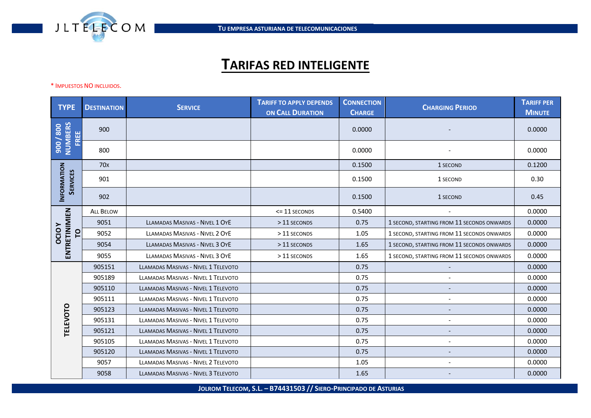

## **TARIFAS RED INTELIGENTE**

\* IMPUESTOS NO INCLUIDOS.

| <b>TYPE</b>                        | <b>DESTINATION</b> | <b>SERVICE</b>                             | <b>TARIFF TO APPLY DEPENDS</b><br><b>ON CALL DURATION</b> | <b>CONNECTION</b><br><b>CHARGE</b> | <b>CHARGING PERIOD</b>                     | <b>TARIFF PER</b><br><b>MINUTE</b> |
|------------------------------------|--------------------|--------------------------------------------|-----------------------------------------------------------|------------------------------------|--------------------------------------------|------------------------------------|
| 008/006<br>NUMBERS<br>FREE         | 900                |                                            |                                                           | 0.0000                             |                                            | 0.0000                             |
|                                    | 800                |                                            |                                                           | 0.0000                             |                                            | 0.0000                             |
| INFORMATION<br><b>SERVICES</b>     | 70 <sub>x</sub>    |                                            |                                                           | 0.1500                             | 1 SECOND                                   | 0.1200                             |
|                                    | 901                |                                            |                                                           | 0.1500                             | 1 SECOND                                   | 0.30                               |
|                                    | 902                |                                            |                                                           | 0.1500                             | 1 SECOND                                   | 0.45                               |
| ENTRETINIMIEN<br><b>OCIOY</b><br>p | <b>ALL BELOW</b>   |                                            | $\le$ = 11 SECONDS                                        | 0.5400                             |                                            | 0.0000                             |
|                                    | 9051               | <b>LLAMADAS MASIVAS - NIVEL 1 OYE</b>      | > 11 SECONDS                                              | 0.75                               | 1 SECOND, STARTING FROM 11 SECONDS ONWARDS | 0.0000                             |
|                                    | 9052               | LLAMADAS MASIVAS - NIVEL 2 OYE             | > 11 SECONDS                                              | 1.05                               | 1 SECOND, STARTING FROM 11 SECONDS ONWARDS | 0.0000                             |
|                                    | 9054               | LLAMADAS MASIVAS - NIVEL 3 OYE             | > 11 SECONDS                                              | 1.65                               | 1 SECOND, STARTING FROM 11 SECONDS ONWARDS | 0.0000                             |
|                                    | 9055               | LLAMADAS MASIVAS - NIVEL 3 OYE             | > 11 SECONDS                                              | 1.65                               | 1 SECOND, STARTING FROM 11 SECONDS ONWARDS | 0.0000                             |
| TELEVOTO                           | 905151             | <b>LLAMADAS MASIVAS - NIVEL 1 TELEVOTO</b> |                                                           | 0.75                               |                                            | 0.0000                             |
|                                    | 905189             | <b>LLAMADAS MASIVAS - NIVEL 1 TELEVOTO</b> |                                                           | 0.75                               |                                            | 0.0000                             |
|                                    | 905110             | <b>LLAMADAS MASIVAS - NIVEL 1 TELEVOTO</b> |                                                           | 0.75                               |                                            | 0.0000                             |
|                                    | 905111             | <b>LLAMADAS MASIVAS - NIVEL 1 TELEVOTO</b> |                                                           | 0.75                               | $\blacksquare$                             | 0.0000                             |
|                                    | 905123             | <b>LLAMADAS MASIVAS - NIVEL 1 TELEVOTO</b> |                                                           | 0.75                               | $\overline{\phantom{0}}$                   | 0.0000                             |
|                                    | 905131             | <b>LLAMADAS MASIVAS - NIVEL 1 TELEVOTO</b> |                                                           | 0.75                               | $\tilde{\phantom{a}}$                      | 0.0000                             |
|                                    | 905121             | <b>LLAMADAS MASIVAS - NIVEL 1 TELEVOTO</b> |                                                           | 0.75                               | $\overline{\phantom{a}}$                   | 0.0000                             |
|                                    | 905105             | <b>LLAMADAS MASIVAS - NIVEL 1 TELEVOTO</b> |                                                           | 0.75                               | $\overline{\phantom{a}}$                   | 0.0000                             |
|                                    | 905120             | <b>LLAMADAS MASIVAS - NIVEL 1 TELEVOTO</b> |                                                           | 0.75                               | $\overline{\phantom{a}}$                   | 0.0000                             |
|                                    | 9057               | <b>LLAMADAS MASIVAS - NIVEL 2 TELEVOTO</b> |                                                           | 1.05                               | $\overline{\phantom{a}}$                   | 0.0000                             |
|                                    | 9058               | <b>LLAMADAS MASIVAS - NIVEL 3 TELEVOTO</b> |                                                           | 1.65                               |                                            | 0.0000                             |

**JOLROM TELECOM, S.L. – B74431503 // SIERO-PRINCIPADO DE ASTURIAS**